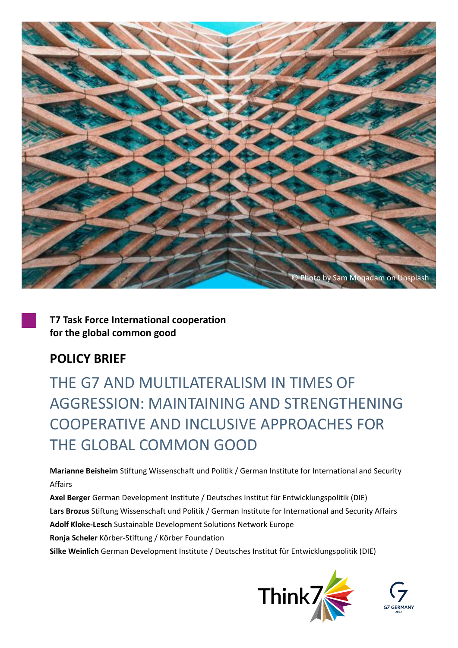

**T7 Task Force International cooperation for the global common good**

# **POLICY BRIEF**

THE G7 AND MUITILATERALISM IN TIMES OF AGGRESSION: MAINTAINING AND STRENGTHENING COOPERATIVE AND INCLUSIVE APPROACHES FOR THE GLOBAL COMMON GOOD

**Marianne Beisheim** Stiftung Wissenschaft und Politik / German Institute for International and Security Affairs

**Axel Berger** German Development Institute / Deutsches Institut für Entwicklungspolitik (DIE) **Lars Brozus** Stiftung Wissenschaft und Politik / German Institute for International and Security Affairs **Adolf Kloke-Lesch** Sustainable Development Solutions Network Europe **Ronja Scheler** Körber-Stiftung / Körber Foundation

**Silke Weinlich** German Development Institute / Deutsches Institut für Entwicklungspolitik (DIE)



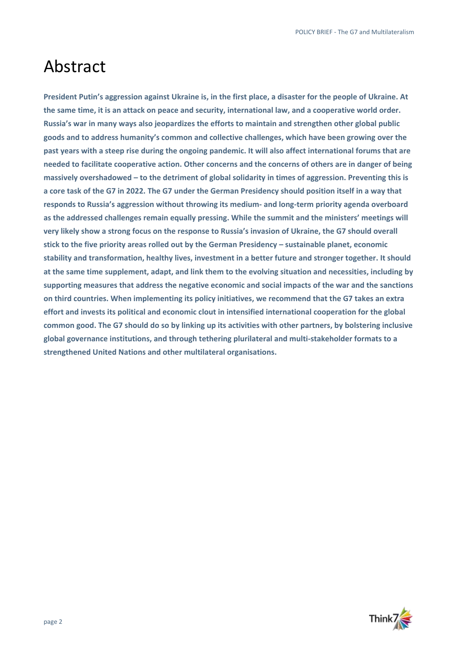# Abstract

 **stick to the five priority areas rolled out by the German Presidency – sustainable planet, economic President Putin's aggression against Ukraine is, in the first place, a disaster for the people of Ukraine. At the same time, it is an attack on peace and security, international law, and a cooperative world order. Russia's war in many ways also jeopardizes the efforts to maintain and strengthen other global public goods and to address humanity's common and collective challenges, which have been growing over the past years with a steep rise during the ongoing pandemic. It will also affect international forums that are needed to facilitate cooperative action. Other concerns and the concerns of others are in danger of being massively overshadowed – to the detriment of global solidarity in times of aggression. Preventing this is a core task of the G7 in 2022. The G7 under the German Presidency should position itself in a way that responds to Russia's aggression without throwing its medium- and long-term priority agenda overboard as the addressed challenges remain equally pressing. While the summit and the ministers' meetings will very likely show a strong focus on the response to Russia's invasion of Ukraine, the G7 should overall stability and transformation, healthy lives, investment in a better future and stronger together. It should at the same time supplement, adapt, and link them to the evolving situation and necessities, including by supporting measures that address the negative economic and social impacts of the war and the sanctions on third countries. When implementing its policy initiatives, we recommend that the G7 takes an extra effort and invests its political and economic clout in intensified international cooperation for the global common good. The G7 should do so by linking up its activities with other partners, by bolstering inclusive global governance institutions, and through tethering plurilateral and multi-stakeholder formats to a strengthened United Nations and other multilateral organisations.** 

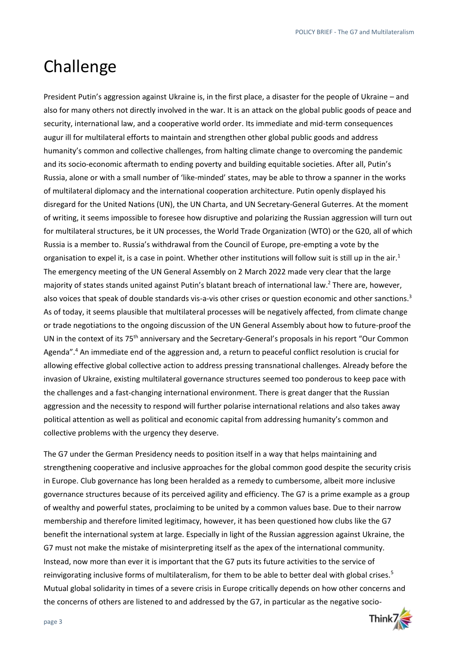# Challenge

 for multilateral structures, be it UN processes, the World Trade Organization (WTO) or the G20, all of which President Putin's aggression against Ukraine is, in the first place, a disaster for the people of Ukraine – and also for many others not directly involved in the war. It is an attack on the global public goods of peace and security, international law, and a cooperative world order. Its immediate and mid-term consequences augur ill for multilateral efforts to maintain and strengthen other global public goods and address humanity's common and collective challenges, from halting climate change to overcoming the pandemic and its socio-economic aftermath to ending poverty and building equitable societies. After all, Putin's Russia, alone or with a small number of 'like-minded' states, may be able to throw a spanner in the works of multilateral diplomacy and the international cooperation architecture. Putin openly displayed his disregard for the United Nations (UN), the UN Charta, and UN Secretary-General Guterres. At the moment of writing, it seems impossible to foresee how disruptive and polarizing the Russian aggression will turn out Russia is a member to. Russia's withdrawal from the Council of Europe, pre-empting a vote by the organisation to expel it, is a case in point. Whether other institutions will follow suit is still up in the air.<sup>1</sup> The emergency meeting of the UN General Assembly on 2 March 2022 made very clear that the large majority of states stands united against Putin's blatant breach of international law. 2 There are, however, also voices that speak of double standards vis-a-vis other crises or question economic and other sanctions.<sup>3</sup> As of today, it seems plausible that multilateral processes will be negatively affected, from climate change or trade negotiations to the ongoing discussion of the UN General Assembly about how to future-proof the UN in the context of its 75<sup>th</sup> anniversary and the Secretary-General's proposals in his report "Our Common" Agenda".<sup>4</sup> An immediate end of the aggression and, a return to peaceful conflict resolution is crucial for allowing effective global collective action to address pressing transnational challenges. Already before the invasion of Ukraine, existing multilateral governance structures seemed too ponderous to keep pace with the challenges and a fast-changing international environment. There is great danger that the Russian aggression and the necessity to respond will further polarise international relations and also takes away political attention as well as political and economic capital from addressing humanity's common and collective problems with the urgency they deserve.

The G7 under the German Presidency needs to position itself in a way that helps maintaining and strengthening cooperative and inclusive approaches for the global common good despite the security crisis in Europe. Club governance has long been heralded as a remedy to cumbersome, albeit more inclusive governance structures because of its perceived agility and efficiency. The G7 is a prime example as a group of wealthy and powerful states, proclaiming to be united by a common values base. Due to their narrow membership and therefore limited legitimacy, however, it has been questioned how clubs like the G7 benefit the international system at large. Especially in light of the Russian aggression against Ukraine, the G7 must not make the mistake of misinterpreting itself as the apex of the international community. Instead, now more than ever it is important that the G7 puts its future activities to the service of reinvigorating inclusive forms of multilateralism, for them to be able to better deal with global crises.<sup>5</sup> Mutual global solidarity in times of a severe crisis in Europe critically depends on how other concerns and the concerns of others are listened to and addressed by the G7, in particular as the negative socio-

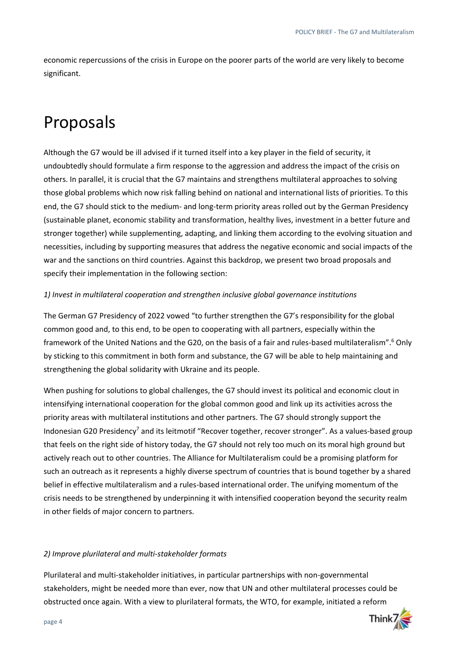economic repercussions of the crisis in Europe on the poorer parts of the world are very likely to become significant.

# Proposals

 those global problems which now risk falling behind on national and international lists of priorities. To this Although the G7 would be ill advised if it turned itself into a key player in the field of security, it undoubtedly should formulate a firm response to the aggression and address the impact of the crisis on others. In parallel, it is crucial that the G7 maintains and strengthens multilateral approaches to solving end, the G7 should stick to the medium- and long-term priority areas rolled out by the German Presidency (sustainable planet, economic stability and transformation, healthy lives, investment in a better future and stronger together) while supplementing, adapting, and linking them according to the evolving situation and necessities, including by supporting measures that address the negative economic and social impacts of the war and the sanctions on third countries. Against this backdrop, we present two broad proposals and specify their implementation in the following section:

## *1) Invest in multilateral cooperation and strengthen inclusive global governance institutions*

The German G7 Presidency of 2022 vowed "to further strengthen the G7's responsibility for the global common good and, to this end, to be open to cooperating with all partners, especially within the framework of the United Nations and the G20, on the basis of a fair and rules-based multilateralism".6 Only by sticking to this commitment in both form and substance, the G7 will be able to help maintaining and strengthening the global solidarity with Ukraine and its people.

When pushing for solutions to global challenges, the G7 should invest its political and economic clout in intensifying international cooperation for the global common good and link up its activities across the priority areas with multilateral institutions and other partners. The G7 should strongly support the Indonesian G20 Presidency<sup>7</sup> and its leitmotif "Recover together, recover stronger". As a values-based group that feels on the right side of history today, the G7 should not rely too much on its moral high ground but actively reach out to other countries. The Alliance for Multilateralism could be a promising platform for such an outreach as it represents a highly diverse spectrum of countries that is bound together by a shared belief in effective multilateralism and a rules-based international order. The unifying momentum of the crisis needs to be strengthened by underpinning it with intensified cooperation beyond the security realm in other fields of major concern to partners.

#### *2) Improve plurilateral and multi-stakeholder formats*

Plurilateral and multi-stakeholder initiatives, in particular partnerships with non-governmental stakeholders, might be needed more than ever, now that UN and other multilateral processes could be obstructed once again. With a view to plurilateral formats, the WTO, for example, initiated a reform

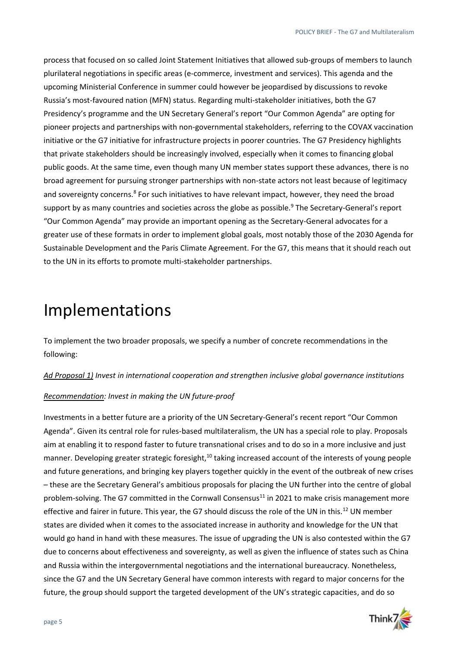process that focused on so called Joint Statement Initiatives that allowed sub-groups of members to launch plurilateral negotiations in specific areas (e-commerce, investment and services). This agenda and the upcoming Ministerial Conference in summer could however be jeopardised by discussions to revoke Russia's most-favoured nation (MFN) status. Regarding multi-stakeholder initiatives, both the G7 Presidency's programme and the UN Secretary General's report "Our Common Agenda" are opting for pioneer projects and partnerships with non-governmental stakeholders, referring to the COVAX vaccination initiative or the G7 initiative for infrastructure projects in poorer countries. The G7 Presidency highlights that private stakeholders should be increasingly involved, especially when it comes to financing global public goods. At the same time, even though many UN member states support these advances, there is no broad agreement for pursuing stronger partnerships with non-state actors not least because of legitimacy and sovereignty concerns.<sup>8</sup> For such initiatives to have relevant impact, however, they need the broad support by as many countries and societies across the globe as possible.<sup>9</sup> The Secretary-General's report "Our Common Agenda" may provide an important opening as the Secretary-General advocates for a greater use of these formats in order to implement global goals, most notably those of the 2030 Agenda for Sustainable Development and the Paris Climate Agreement. For the G7, this means that it should reach out to the UN in its efforts to promote multi-stakeholder partnerships.

# Implementations

To implement the two broader proposals, we specify a number of concrete recommendations in the following:

*Ad Proposal 1) Invest in international cooperation and strengthen inclusive global governance institutions* 

#### *Recommendation: Invest in making the UN future-proof*

 and future generations, and bringing key players together quickly in the event of the outbreak of new crises Investments in a better future are a priority of the UN Secretary-General's recent report "Our Common Agenda". Given its central role for rules-based multilateralism, the UN has a special role to play. Proposals aim at enabling it to respond faster to future transnational crises and to do so in a more inclusive and just manner. Developing greater strategic foresight,<sup>10</sup> taking increased account of the interests of young people – these are the Secretary General's ambitious proposals for placing the UN further into the centre of global problem-solving. The G7 committed in the Cornwall Consensus<sup>11</sup> in 2021 to make crisis management more effective and fairer in future. This year, the G7 should discuss the role of the UN in this.<sup>12</sup> UN member states are divided when it comes to the associated increase in authority and knowledge for the UN that would go hand in hand with these measures. The issue of upgrading the UN is also contested within the G7 due to concerns about effectiveness and sovereignty, as well as given the influence of states such as China and Russia within the intergovernmental negotiations and the international bureaucracy. Nonetheless, since the G7 and the UN Secretary General have common interests with regard to major concerns for the future, the group should support the targeted development of the UN's strategic capacities, and do so

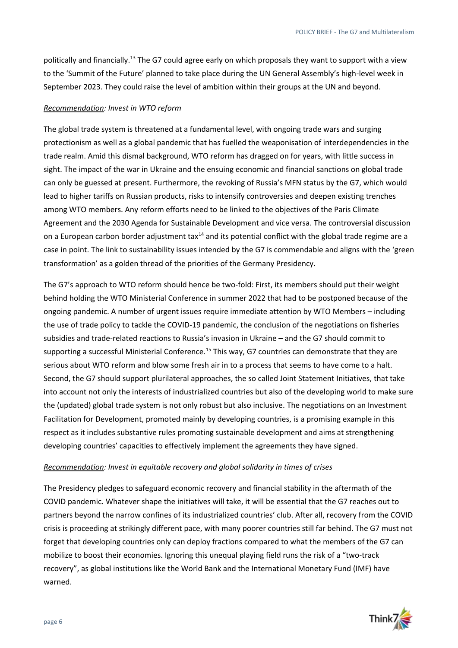politically and financially.<sup>13</sup> The G7 could agree early on which proposals they want to support with a view to the 'Summit of the Future' planned to take place during the UN General Assembly's high-level week in September 2023. They could raise the level of ambition within their groups at the UN and beyond.

#### *Recommendation: Invest in WTO reform*

The global trade system is threatened at a fundamental level, with ongoing trade wars and surging protectionism as well as a global pandemic that has fuelled the weaponisation of interdependencies in the trade realm. Amid this dismal background, WTO reform has dragged on for years, with little success in sight. The impact of the war in Ukraine and the ensuing economic and financial sanctions on global trade can only be guessed at present. Furthermore, the revoking of Russia's MFN status by the G7, which would lead to higher tariffs on Russian products, risks to intensify controversies and deepen existing trenches among WTO members. Any reform efforts need to be linked to the objectives of the Paris Climate Agreement and the 2030 Agenda for Sustainable Development and vice versa. The controversial discussion on a European carbon border adjustment tax<sup>14</sup> and its potential conflict with the global trade regime are a case in point. The link to sustainability issues intended by the G7 is commendable and aligns with the 'green transformation' as a golden thread of the priorities of the Germany Presidency.

The G7's approach to WTO reform should hence be two-fold: First, its members should put their weight behind holding the WTO Ministerial Conference in summer 2022 that had to be postponed because of the ongoing pandemic. A number of urgent issues require immediate attention by WTO Members – including the use of trade policy to tackle the COVID-19 pandemic, the conclusion of the negotiations on fisheries subsidies and trade-related reactions to Russia's invasion in Ukraine – and the G7 should commit to supporting a successful Ministerial Conference.<sup>15</sup> This way, G7 countries can demonstrate that they are serious about WTO reform and blow some fresh air in to a process that seems to have come to a halt. Second, the G7 should support plurilateral approaches, the so called Joint Statement Initiatives, that take into account not only the interests of industrialized countries but also of the developing world to make sure the (updated) global trade system is not only robust but also inclusive. The negotiations on an Investment Facilitation for Development, promoted mainly by developing countries, is a promising example in this respect as it includes substantive rules promoting sustainable development and aims at strengthening developing countries' capacities to effectively implement the agreements they have signed.

#### *Recommendation: Invest in equitable recovery and global solidarity in times of crises*

The Presidency pledges to safeguard economic recovery and financial stability in the aftermath of the COVID pandemic. Whatever shape the initiatives will take, it will be essential that the G7 reaches out to partners beyond the narrow confines of its industrialized countries' club. After all, recovery from the COVID crisis is proceeding at strikingly different pace, with many poorer countries still far behind. The G7 must not forget that developing countries only can deploy fractions compared to what the members of the G7 can mobilize to boost their economies. Ignoring this unequal playing field runs the risk of a "two-track recovery", as global institutions like the World Bank and the International Monetary Fund (IMF) have warned.

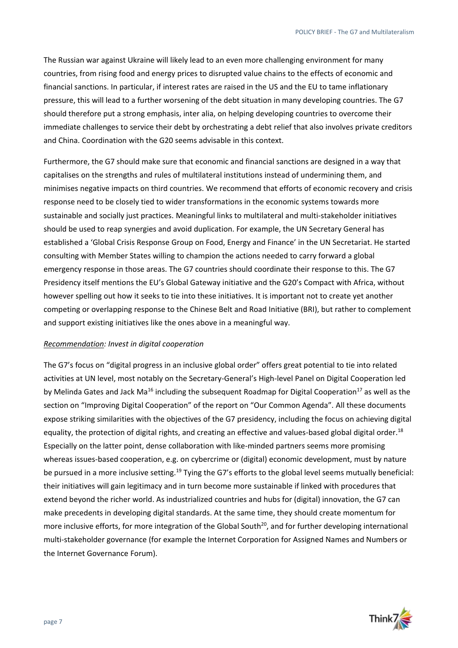The Russian war against Ukraine will likely lead to an even more challenging environment for many countries, from rising food and energy prices to disrupted value chains to the effects of economic and financial sanctions. In particular, if interest rates are raised in the US and the EU to tame inflationary pressure, this will lead to a further worsening of the debt situation in many developing countries. The G7 should therefore put a strong emphasis, inter alia, on helping developing countries to overcome their immediate challenges to service their debt by orchestrating a debt relief that also involves private creditors and China. Coordination with the G20 seems advisable in this context.

 should be used to reap synergies and avoid duplication. For example, the UN Secretary General has Furthermore, the G7 should make sure that economic and financial sanctions are designed in a way that capitalises on the strengths and rules of multilateral institutions instead of undermining them, and minimises negative impacts on third countries. We recommend that efforts of economic recovery and crisis response need to be closely tied to wider transformations in the economic systems towards more sustainable and socially just practices. Meaningful links to multilateral and multi-stakeholder initiatives established a 'Global Crisis Response Group on Food, Energy and Finance' in the UN Secretariat. He started consulting with Member States willing to champion the actions needed to carry forward a global emergency response in those areas. The G7 countries should coordinate their response to this. The G7 Presidency itself mentions the EU's Global Gateway initiative and the G20's Compact with Africa, without however spelling out how it seeks to tie into these initiatives. It is important not to create yet another competing or overlapping response to the Chinese Belt and Road Initiative (BRI), but rather to complement and support existing initiatives like the ones above in a meaningful way.

#### *Recommendation: Invest in digital cooperation*

 extend beyond the richer world. As industrialized countries and hubs for (digital) innovation, the G7 can The G7's focus on "digital progress in an inclusive global order" offers great potential to tie into related activities at UN level, most notably on the Secretary-General's High-level Panel on Digital Cooperation led by Melinda Gates and Jack Ma<sup>16</sup> including the subsequent Roadmap for Digital Cooperation<sup>17</sup> as well as the section on "Improving Digital Cooperation" of the report on "Our Common Agenda". All these documents expose striking similarities with the objectives of the G7 presidency, including the focus on achieving digital equality, the protection of digital rights, and creating an effective and values-based global digital order.<sup>18</sup> Especially on the latter point, dense collaboration with like-minded partners seems more promising whereas issues-based cooperation, e.g. on cybercrime or (digital) economic development, must by nature be pursued in a more inclusive setting.<sup>19</sup> Tying the G7's efforts to the global level seems mutually beneficial: their initiatives will gain legitimacy and in turn become more sustainable if linked with procedures that make precedents in developing digital standards. At the same time, they should create momentum for more inclusive efforts, for more integration of the Global South<sup>20</sup>, and for further developing international multi-stakeholder governance (for example the Internet Corporation for Assigned Names and Numbers or the Internet Governance Forum).

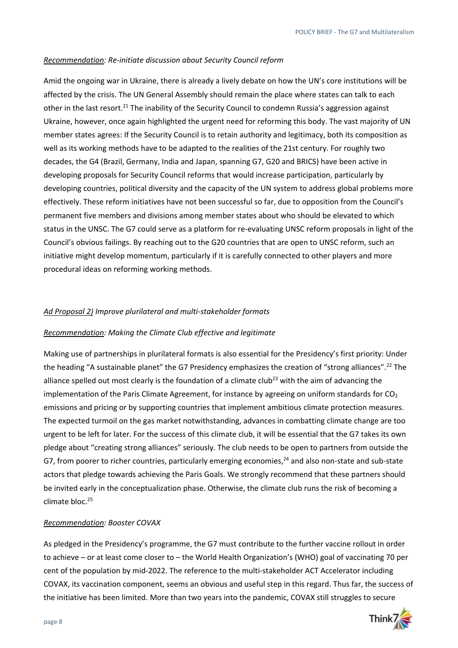### *Recommendation: Re-initiate discussion about Security Council reform*

 initiative might develop momentum, particularly if it is carefully connected to other players and more Amid the ongoing war in Ukraine, there is already a lively debate on how the UN's core institutions will be affected by the crisis. The UN General Assembly should remain the place where states can talk to each other in the last [resort.](https://resort.21)<sup>21</sup> The inability of the Security Council to condemn Russia's aggression against Ukraine, however, once again highlighted the urgent need for reforming this body. The vast majority of UN member states agrees: If the Security Council is to retain authority and legitimacy, both its composition as well as its working methods have to be adapted to the realities of the 21st century. For roughly two decades, the G4 (Brazil, Germany, India and Japan, spanning G7, G20 and BRICS) have been active in developing proposals for Security Council reforms that would increase participation, particularly by developing countries, political diversity and the capacity of the UN system to address global problems more effectively. These reform initiatives have not been successful so far, due to opposition from the Council's permanent five members and divisions among member states about who should be elevated to which status in the UNSC. The G7 could serve as a platform for re-evaluating UNSC reform proposals in light of the Council's obvious failings. By reaching out to the G20 countries that are open to UNSC reform, such an procedural ideas on reforming working methods.

## *Ad Proposal 2) Improve plurilateral and multi-stakeholder formats*

#### *Recommendation: Making the Climate Club effective and legitimate*

Making use of partnerships in plurilateral formats is also essential for the Presidency's first priority: Under the heading "A sustainable planet" the G7 Presidency emphasizes the creation of "strong [alliances".](https://alliances�.22)22 The alliance spelled out most clearly is the foundation of a climate club<sup>23</sup> with the aim of advancing the implementation of the Paris Climate Agreement, for instance by agreeing on uniform standards for  $CO<sub>2</sub>$ emissions and pricing or by supporting countries that implement ambitious climate protection measures. The expected turmoil on the gas market notwithstanding, advances in combatting climate change are too urgent to be left for later. For the success of this climate club, it will be essential that the G7 takes its own pledge about "creating strong alliances" seriously. The club needs to be open to partners from outside the G7, from poorer to richer countries, particularly emerging economies, $^{24}$  and also non-state and sub-state actors that pledge towards achieving the Paris Goals. We strongly recommend that these partners should be invited early in the conceptualization phase. Otherwise, the climate club runs the risk of becoming a climate bloc.<sup>25</sup>

## *Recommendation: Booster COVAX*

 the initiative has been limited. More than two years into the pandemic, COVAX still struggles to secure As pledged in the Presidency's programme, the G7 must contribute to the further vaccine rollout in order to achieve – or at least come closer to – the World Health Organization's (WHO) goal of vaccinating 70 per cent of the population by mid-2022. The reference to the multi-stakeholder ACT Accelerator including COVAX, its vaccination component, seems an obvious and useful step in this regard. Thus far, the success of

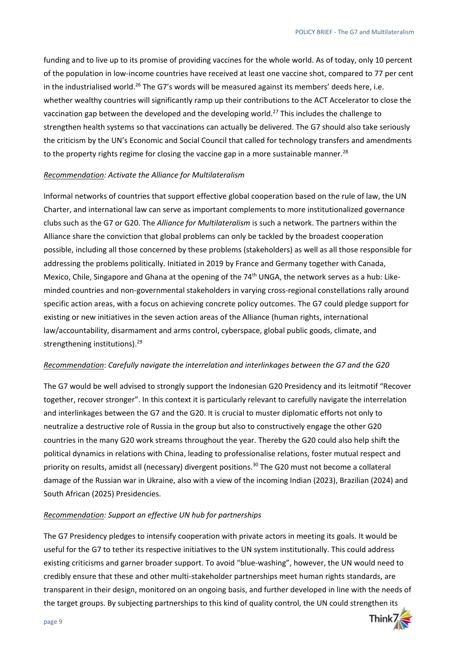funding and to live up to its promise of providing vaccines for the whole world. As of today, only 10 percent of the population in low-income countries have received at least one vaccine shot, compared to 77 per cent in the industrialised world.<sup>26</sup> The G7's words will be measured against its members' deeds here, i.e. whether wealthy countries will significantly ramp up their contributions to the ACT Accelerator to close the vaccination gap between the developed and the developing world.<sup>27</sup> This includes the challenge to strengthen health systems so that vaccinations can actually be delivered. The G7 should also take seriously the criticism by the UN's Economic and Social Council that called for technology transfers and amendments to the property rights regime for closing the vaccine gap in a more sustainable manner.<sup>28</sup>

### *Recommendation: Activate the Alliance for Multilateralism*

Informal networks of countries that support effective global cooperation based on the rule of law, the UN Charter, and international law can serve as important complements to more institutionalized governance clubs such as the G7 or G20. The *Alliance for Multilateralism* is such a network. The partners within the Alliance share the conviction that global problems can only be tackled by the broadest cooperation possible, including all those concerned by these problems (stakeholders) as well as all those responsible for addressing the problems politically. Initiated in 2019 by France and Germany together with Canada, Mexico, Chile, Singapore and Ghana at the opening of the 74<sup>th</sup> UNGA, the network serves as a hub: Likeminded countries and non-governmental stakeholders in varying cross-regional constellations rally around specific action areas, with a focus on achieving concrete policy outcomes. The G7 could pledge support for existing or new initiatives in the seven action areas of the Alliance (human rights, international law/accountability, disarmament and arms control, cyberspace, global public goods, climate, and strengthening [institutions\).](https://institutions).29) 29

## *Recommendation*: *Carefully navigate the interrelation and interlinkages between the G7 and the G20*

The G7 would be well advised to strongly support the Indonesian G20 Presidency and its leitmotif "Recover together, recover stronger". In this context it is particularly relevant to carefully navigate the interrelation and interlinkages between the G7 and the G20. It is crucial to muster diplomatic efforts not only to neutralize a destructive role of Russia in the group but also to constructively engage the other G20 countries in the many G20 work streams throughout the year. Thereby the G20 could also help shift the political dynamics in relations with China, leading to professionalise relations, foster mutual respect and priority on results, amidst all (necessary) divergent [positions.](https://positions.30) 30 The G20 must not become a collateral damage of the Russian war in Ukraine, also with a view of the incoming Indian (2023), Brazilian (2024) and South African (2025) Presidencies.

## *Recommendation: Support an effective UN hub for partnerships*

The G7 Presidency pledges to intensify cooperation with private actors in meeting its goals. It would be useful for the G7 to tether its respective initiatives to the UN system institutionally. This could address existing criticisms and garner broader support. To avoid "blue-washing", however, the UN would need to credibly ensure that these and other multi-stakeholder partnerships meet human rights standards, are transparent in their design, monitored on an ongoing basis, and further developed in line with the needs of the target groups. By subjecting partnerships to this kind of quality control, the UN could strengthen its

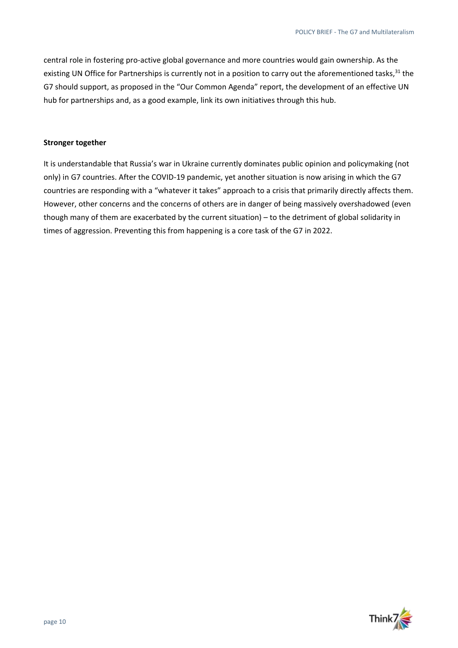central role in fostering pro-active global governance and more countries would gain ownership. As the existing UN Office for Partnerships is currently not in a position to carry out the aforementioned tasks,<sup>31</sup> the G7 should support, as proposed in the "Our Common Agenda" report, the development of an effective UN hub for partnerships and, as a good example, link its own initiatives through this hub.

#### **Stronger together**

It is understandable that Russia's war in Ukraine currently dominates public opinion and policymaking (not only) in G7 countries. After the COVID-19 pandemic, yet another situation is now arising in which the G7 countries are responding with a "whatever it takes" approach to a crisis that primarily directly affects them. However, other concerns and the concerns of others are in danger of being massively overshadowed (even though many of them are exacerbated by the current situation) – to the detriment of global solidarity in times of aggression. Preventing this from happening is a core task of the G7 in 2022.

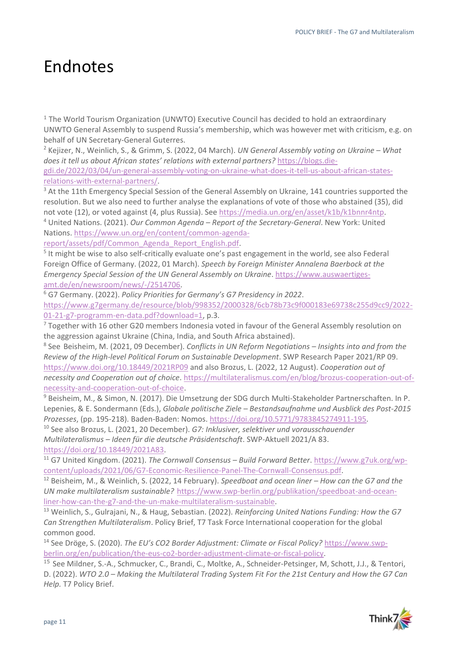# Endnotes

 $1$  The World Tourism Organization (UNWTO) Executive Council has decided to hold an extraordinary UNWTO General Assembly to suspend Russia's membership, which was however met with criticism, e.g. on behalf of UN Secretary-General Guterres.<br><sup>2</sup> Kejizer, N., Weinlich, S., & Grimm, S. (2022, 04 March). *UN General Assembly voting on Ukraine – What* 

*does it tell us about African states' relations with external partners?* [https://blogs.die](https://blogs.die-gdi.de/2022/03/04/un-general-assembly-voting-on-ukraine-what-does-it-tell-us-about-african-states-relations-with-external-partners/)[gdi.de/2022/03/04/un-general-assembly-voting-on-ukraine-what-does-it-tell-us-about-african-states-](https://blogs.die-gdi.de/2022/03/04/un-general-assembly-voting-on-ukraine-what-does-it-tell-us-about-african-states-relations-with-external-partners/)

[relations-with-external-partners/.](https://blogs.die-gdi.de/2022/03/04/un-general-assembly-voting-on-ukraine-what-does-it-tell-us-about-african-states-relations-with-external-partners/)<br><sup>3</sup> At the 11th Emergency Special Session of the General Assembly on Ukraine, 141 countries supported the resolution. But we also need to further analyse the explanations of vote of those who abstained (35), did not vote (12), or voted against (4, plus Russia). See [https://media.un.org/en/asset/k1b/k1bnnr4ntp.](https://media.un.org/en/asset/k1b/k1bnnr4ntp) 4 United Nations. (2021). *Our Common Agenda – Report of the Secretary-General*. New York: United

Nations. https://www.un.org/en/content/common-agenda-<br>report/assets/pdf/Common Agenda Report English.pdf.

 Foreign Office of Germany. (2022, 01 March). *Speech by Foreign Minister Annalena Baerbock at the*   $5$  It might be wise to also self-critically evaluate one's past engagement in the world, see also Federal *Emergency Special Session of the UN General Assembly on Ukraine*. [https://www.auswaertiges-](https://www.auswaertiges-amt.de/en/newsroom/news/-/2514706)

[amt.de/en/newsroom/news/-/2514706.](https://www.auswaertiges-amt.de/en/newsroom/news/-/2514706)<br><sup>6</sup> G7 Germany. (2022). *Policy Priorities for Germany's G7 Presidency in 2022*.

[https://www.g7germany.de/resource/blob/998352/2000328/6cb78b73c9f000183e69738c255d9cc9/2022-](https://www.g7germany.de/resource/blob/998352/2000328/6cb78b73c9f000183e69738c255d9cc9/2022-01-21-g7-programm-en-data.pdf?download=1)  $\frac{01-21-g7-programm-en-data.pdf?download=1$ , p.3.<br><sup>7</sup> Together with 16 other G20 members Indonesia voted in favour of the General Assembly resolution on

the aggression against Ukraine (China, India, and South Africa abstained).

8 See Beisheim, M. (2021, 09 December). *Conflicts in UN Reform Negotiations – Insights into and from the Review of the High-level Political Forum on Sustainable Development*. SWP Research Paper 2021/RP 09. <https://www.doi.org/10.18449/2021RP09>and also Brozus, L. (2022, 12 August). *Cooperation out of necessity and Cooperation out of choice*. [https://multilateralismus.com/en/blog/brozus-cooperation-out-of-](https://multilateralismus.com/en/blog/brozus-cooperation-out-of-necessity-and-cooperation-out-of-choice)

[necessity-and-cooperation-out-of-choice.](https://multilateralismus.com/en/blog/brozus-cooperation-out-of-necessity-and-cooperation-out-of-choice)<br><sup>9</sup> Beisheim, M., & Simon, N. (2017). Die Umsetzung der SDG durch Multi-Stakeholder Partnerschaften. In P. Lepenies, & E. Sondermann (Eds.), *Globale politische Ziele – Bestandsaufnahme und Ausblick des Post-2015 Prozesses*, (pp. 195-218). Baden-Baden: Nomos[. https://doi.org/10.5771/9783845274911-195.](https://doi.org/10.5771/9783845274911-195) 10 See also Brozus, L. (2021, 20 December). *G7: Inklusiver, selektiver und vorausschauender* 

*Multilateralismus – Ideen für die deutsche Präsidentschaft*. SWP-Aktuell 2021/A 83.

[https://doi.org/10.18449/2021A83.](https://doi.org/10.18449/2021A83) 11 G7 United Kingdom. (2021). *The Cornwall Consensus – Build Forward Better*. [https://www.g7uk.org/wp-](https://www.g7uk.org/wp-content/uploads/2021/06/G7-Economic-Resilience-Panel-The-Cornwall-Consensus.pdf)

[content/uploads/2021/06/G7-Economic-Resilience-Panel-The-Cornwall-Consensus.pdf.](https://www.g7uk.org/wp-content/uploads/2021/06/G7-Economic-Resilience-Panel-The-Cornwall-Consensus.pdf) 12 Beisheim, M., & Weinlich, S. (2022, 14 February). *Speedboat and ocean liner – How can the G7 and the UN make multilateralism sustainable?* [https://www.swp-berlin.org/publikation/speedboat-and-ocean](https://www.swp-berlin.org/publikation/speedboat-and-ocean-liner-how-can-the-g7-and-the-un-make-multilateralism-sustainable)[liner-how-can-the-g7-and-the-un-make-multilateralism-sustainable.](https://www.swp-berlin.org/publikation/speedboat-and-ocean-liner-how-can-the-g7-and-the-un-make-multilateralism-sustainable) 13 Weinlich, S., Gulrajani, N., & Haug, Sebastian. (2022). *Reinforcing United Nations Funding: How the G7* 

*Can Strengthen Multilateralism*. Policy Brief, T7 Task Force International cooperation for the global common good.

14 See Dröge, S. (2020). *The EU's CO2 Border Adjustment: Climate or Fiscal Policy?* [https://www.swp](https://www.swp-berlin.org/en/publication/the-eus-co2-border-adjustment-climate-or-fiscal-policy)[berlin.org/en/publication/the-eus-co2-border-adjustment-climate-or-fiscal-policy.](https://www.swp-berlin.org/en/publication/the-eus-co2-border-adjustment-climate-or-fiscal-policy)

<sup>15</sup> See Mildner, S.-A., Schmucker, C., Brandi, C., Moltke, A., Schneider-Petsinger, M, Schott, J.J., & Tentori, D. (2022). *WTO 2.0 – Making the Multilateral Trading System Fit For the 21st Century and How the G7 Can Help.* T7 Policy Brief.

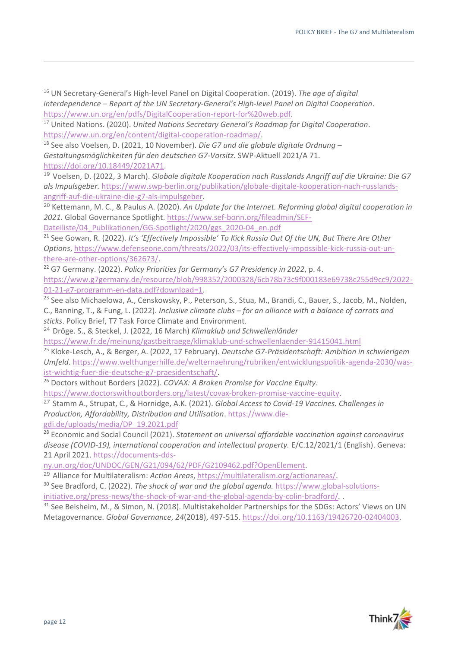16 UN Secretary-General's High-level Panel on Digital Cooperation. (2019). *The age of digital interdependence – Report of the UN Secretary-General's High-level Panel on Digital Cooperation*. [https://www.un.org/en/pdfs/DigitalCooperation-report-for%20web.pdf.](https://www.un.org/en/pdfs/DigitalCooperation-report-for%20web.pdf) 17 United Nations. (2020). *United Nations Secretary General's Roadmap for Digital Cooperation*.

[https://www.un.org/en/content/digital-cooperation-roadmap/.](https://www.un.org/en/content/digital-cooperation-roadmap/) 18 See also Voelsen, D. (2021, 10 November). *Die G7 und die globale digitale Ordnung –*

*Gestaltungsmöglichkeiten für den deutschen G7-Vorsitz*. SWP-Aktuell 2021/A 71. [https://doi.org/10.18449/2021A71.](https://doi.org/10.18449/2021A71)

<sup>19</sup> Voelsen, D. (2022, 3 March). *Globale digitale Kooperation nach Russlands Angriff auf die Ukraine: Die G7 als Impulsgeber.* [https://www.swp-berlin.org/publikation/globale-digitale-kooperation-nach-russlands](https://www.swp-berlin.org/publikation/globale-digitale-kooperation-nach-russlands-angriff-auf-die-ukraine-die-g7-als-impulsgeber)[angriff-auf-die-ukraine-die-g7-als-impulsgeber.](https://www.swp-berlin.org/publikation/globale-digitale-kooperation-nach-russlands-angriff-auf-die-ukraine-die-g7-als-impulsgeber)

<sup>20</sup> Kettemann, M. C., & Paulus A. (2020). *An Update for the Internet. Reforming global digital cooperation in 2021.* Global Governance Spotlight. [https://www.sef-bonn.org/fileadmin/SEF-](https://www.sef-bonn.org/fileadmin/SEF-Dateiliste/04_Publikationen/GG-Spotlight/2020/ggs_2020-04_en.pdf)

Dateiliste/04 Publikationen/GG-Spotlight/2020/ggs 2020-04 en.pdf

<sup>21</sup> See Gowan, R. (2022). *It's 'Effectively Impossible' To Kick Russia Out Of the UN, But There Are Other Options*[, https://www.defenseone.com/threats/2022/03/its-effectively-impossible-kick-russia-out-un](https://www.defenseone.com/threats/2022/03/its-effectively-impossible-kick-russia-out-un-there-are-other-options/362673/)[there-are-other-options/362673/.](https://www.defenseone.com/threats/2022/03/its-effectively-impossible-kick-russia-out-un-there-are-other-options/362673/)<br><sup>22</sup> G7 Germany. (2022). *Policy Priorities for Germany's G7 Presidency in 2022*, p. 4.

[https://www.g7germany.de/resource/blob/998352/2000328/6cb78b73c9f000183e69738c255d9cc9/2022-](https://www.g7germany.de/resource/blob/998352/2000328/6cb78b73c9f000183e69738c255d9cc9/2022-01-21-g7-programm-en-data.pdf?download=1) [01-21-g7-programm-en-data.pdf?download=1.](https://www.g7germany.de/resource/blob/998352/2000328/6cb78b73c9f000183e69738c255d9cc9/2022-01-21-g7-programm-en-data.pdf?download=1)<br><sup>23</sup> See also Michaelowa, A., Censkowsky, P., Peterson, S., Stua, M., Brandi, C., Bauer, S., Jacob, M., Nolden,

C., Banning, T., & Fung, L. (2022). *Inclusive climate clubs – for an alliance with a balance of carrots and sticks*. Policy Brief, T7 Task Force Climate and Environment.

<sup>24</sup>Dröge. S., & Steckel, J. (2022, 16 March) *Klimaklub und Schwellenländer* 

<https://www.fr.de/meinung/gastbeitraege/klimaklub-und-schwellenlaender-91415041.html>

25 Kloke-Lesch, A., & Berger, A. (2022, 17 February). *Deutsche G7-Präsidentschaft: Ambition in schwierigem Umfeld*. [https://www.welthungerhilfe.de/welternaehrung/rubriken/entwicklungspolitik-agenda-2030/was](https://www.welthungerhilfe.de/welternaehrung/rubriken/entwicklungspolitik-agenda-2030/was-ist-wichtig-fuer-die-deutsche-g7-praesidentschaft/)[ist-wichtig-fuer-die-deutsche-g7-praesidentschaft/.](https://www.welthungerhilfe.de/welternaehrung/rubriken/entwicklungspolitik-agenda-2030/was-ist-wichtig-fuer-die-deutsche-g7-praesidentschaft/) 26 Doctors without Borders (2022). *COVAX: A Broken Promise for Vaccine Equity*.

[https://www.doctorswithoutborders.org/latest/covax-broken-promise-vaccine-equity.](https://www.doctorswithoutborders.org/latest/covax-broken-promise-vaccine-equity)

<sup>27</sup> Stamm A., Strupat, C., & Hornidge, A.K. (2021). *Global Access to Covid-19 Vaccines. Challenges in Production, Affordability, Distribution and Utilisation*[. https://www.die](https://www.die-gdi.de/uploads/media/DP_19.2021.pdf)[gdi.de/uploads/media/DP\\_19.2021.pdf](https://www.die-gdi.de/uploads/media/DP_19.2021.pdf) 

 28 Economic and Social Council (2021). *Statement on universal affordable vaccination against coronavirus*  disease (COVID-19), international cooperation and intellectual property. E/C.12/2021/1 (English). Geneva: 21 April 2021. [https://documents-dds-](https://documents-dds-ny.un.org/doc/UNDOC/GEN/G21/094/62/PDF/G2109462.pdf?OpenElement)

[ny.un.org/doc/UNDOC/GEN/G21/094/62/PDF/G2109462.pdf?OpenElement.](https://documents-dds-ny.un.org/doc/UNDOC/GEN/G21/094/62/PDF/G2109462.pdf?OpenElement)

<sup>29</sup> Alliance for Multilateralism: *Action Areas*[, https://multilateralism.org/actionareas/.](https://multilateralism.org/actionareas/)<br><sup>30</sup> See Bradford, C. (2022). *The shock of war and the alobal agenda.* [https://www.global-solutions-](https://www.global-solutions-initiative.org/press-news/the-shock-of-war-and-the-global-agenda-by-colin-bradford/)

initiative.org/press-news/the-shock-of-war-and-the-global-agenda-by-colin-bradford/*.* . 31 See Beisheim, M., & Simon, N. (2018). Multistakeholder Partnerships for the SDGs: Actors' Views on UN

Metagovernance. *Global Governance*, *24*(2018), 497-515. [https://doi.org/10.1163/19426720-02404003.](https://doi.org/10.1163/19426720-02404003)



 $\overline{a}$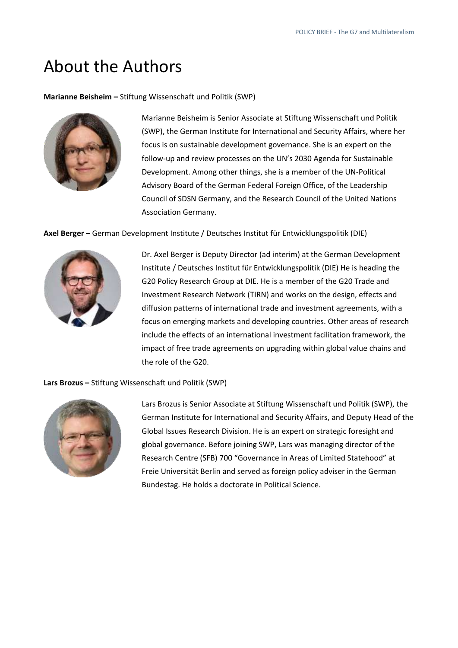# About the Authors

**Marianne Beisheim –** Stiftung Wissenschaft und Politik (SWP)



Marianne Beisheim is Senior Associate at Stiftung Wissenschaft und Politik (SWP), the German Institute for International and Security Affairs, where her focus is on sustainable development governance. She is an expert on the follow-up and review processes on the UN's 2030 Agenda for Sustainable Development. Among other things, she is a member of the UN-Political Advisory Board of the German Federal Foreign Office, of the Leadership Council of SDSN Germany, and the Research Council of the United Nations Association Germany.

**Axel Berger –** German Development Institute / Deutsches Institut für Entwicklungspolitik (DIE)



Dr. Axel Berger is Deputy Director (ad interim) at the German Development Institute / Deutsches Institut für Entwicklungspolitik (DIE) He is heading the G20 Policy Research Group at DIE. He is a member of the G20 Trade and Investment Research Network (TIRN) and works on the design, effects and diffusion patterns of international trade and investment agreements, with a focus on emerging markets and developing countries. Other areas of research include the effects of an international investment facilitation framework, the impact of free trade agreements on upgrading within global value chains and the role of the G20.

**Lars Brozus –** Stiftung Wissenschaft und Politik (SWP)



Lars Brozus is Senior Associate at Stiftung Wissenschaft und Politik (SWP), the German Institute for International and Security Affairs, and Deputy Head of the Global Issues Research Division. He is an expert on strategic foresight and global governance. Before joining SWP, Lars was managing director of the Research Centre (SFB) 700 "Governance in Areas of Limited Statehood" at Freie Universität Berlin and served as foreign policy adviser in the German Bundestag. He holds a doctorate in Political Science.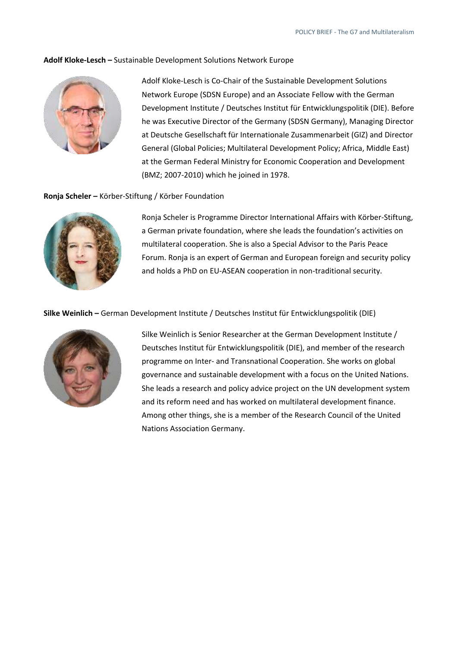#### **Adolf Kloke-Lesch –** Sustainable Development Solutions Network Europe



 Network Europe (SDSN Europe) and an Associate Fellow with the German Adolf Kloke-Lesch is Co-Chair of the Sustainable Development Solutions Development Institute / Deutsches Institut für Entwicklungspolitik (DIE). Before he was Executive Director of the Germany (SDSN Germany), Managing Director at Deutsche Gesellschaft für Internationale Zusammenarbeit (GIZ) and Director General (Global Policies; Multilateral Development Policy; Africa, Middle East) at the German Federal Ministry for Economic Cooperation and Development (BMZ; 2007-2010) which he joined in 1978.

#### **Ronja Scheler –** Körber-Stiftung / Körber Foundation



Ronja Scheler is Programme Director International Affairs with Körber-Stiftung, a German private foundation, where she leads the foundation's activities on multilateral cooperation. She is also a Special Advisor to the Paris Peace Forum. Ronja is an expert of German and European foreign and security policy and holds a PhD on EU-ASEAN cooperation in non-traditional security.

#### **Silke Weinlich –** German Development Institute / Deutsches Institut für Entwicklungspolitik (DIE)



Silke Weinlich is Senior Researcher at the German Development Institute / Deutsches Institut für Entwicklungspolitik (DIE), and member of the research programme on Inter- and Transnational Cooperation. She works on global governance and sustainable development with a focus on the United Nations. She leads a research and policy advice project on the UN development system and its reform need and has worked on multilateral development finance. Among other things, she is a member of the Research Council of the United Nations Association Germany.